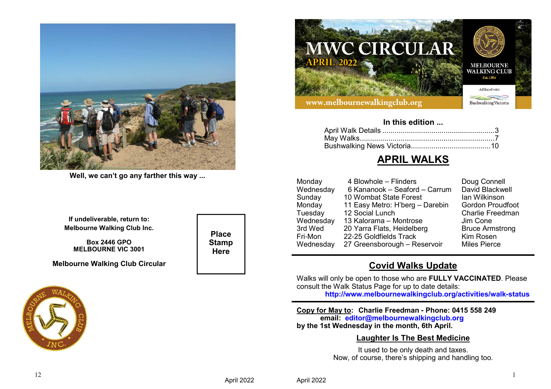

**Well, we can't go any farther this way ...**

**If undeliverable, return to:Melbourne Walking Club Inc.**

**Box 2446 GPOMELBOURNE VIC 3001**

**Melbourne Walking Club Circular**



**Place StampHere**



#### **In this edition ...**

# **APRIL WALKS**

| Monday    | 4 Blowhole - Flinders           | Doug Connell            |
|-----------|---------------------------------|-------------------------|
| Wednesday | 6 Kananook - Seaford - Carrum   | David Blackwell         |
| Sunday    | 10 Wombat State Forest          | lan Wilkinson           |
| Monday    | 11 Easy Metro: H'berg - Darebin | <b>Gordon Proudfoot</b> |
| Tuesday   | 12 Social Lunch                 | <b>Charlie Freedman</b> |
| Wednesday | 13 Kalorama - Montrose          | Jim Cone                |
| 3rd Wed   | 20 Yarra Flats, Heidelberg      | <b>Bruce Armstrong</b>  |
| Fri-Mon   | 22-25 Goldfields Track          | Kim Rosen               |
| Wednesday | 27 Greensborough - Reservoir    | <b>Miles Pierce</b>     |
|           |                                 |                         |

# **Covid Walks Update**

 Walks will only be open to those who are **FULLY VACCINATED**. Please consult the Walk Status Page for up to date details:**http://www.melbournewalkingclub.org/activities/walk-status**

**Copy for May to: Charlie Freedman - Phone: 0415 558 249email: editor@melbournewalkingclub.orgby the 1st Wednesday in the month, 6th April.**

## **Laughter Is The Best Medicine**

It used to be only death and taxes. Now, of course, there's shipping and handling too.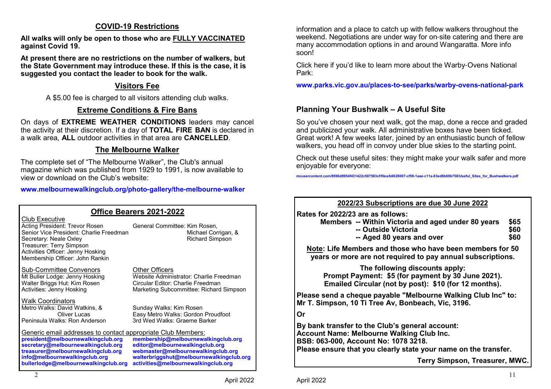# **COVID-19 Restrictions**

**All walks will only be open to those who are FULLY VACCINATED against Covid 19.**

**At present there are no restrictions on the number of walkers, but the State Government may introduce these. If this is the case, it is suggested you contact the leader to book for the walk.**

# **Visitors Fee**

A \$5.00 fee is charged to all visitors attending club walks.

# **Extreme Conditions & Fire Bans**

 On days of **EXTREME WEATHER CONDITIONS** leaders may cancel the activity at their discretion. If a day of **TOTAL FIRE BAN** is declared in a walk area, **ALL** outdoor activities in that area are **CANCELLED**.

# **The Melbourne Walker**

The complete set of "The Melbourne Walker", the Club's annual magazine which was published from 1929 to 1991, is now available to view or download on the Club's website:

**www.melbournewalkingclub.org/photo-gallery/the-melbourne-walker**

| <b>Office Bearers 2021-2022</b>                                                                                                                                                                                                                         |                                                                                                                                                                                                 |  |  |  |
|---------------------------------------------------------------------------------------------------------------------------------------------------------------------------------------------------------------------------------------------------------|-------------------------------------------------------------------------------------------------------------------------------------------------------------------------------------------------|--|--|--|
| Club Executive<br>Acting President: Trevor Rosen<br>Senior Vice President: Charlie Freedman<br>Secretary: Neale Oxley<br>Treasurer: Terry Simpson<br>Activities Officer: Jenny Hosking<br>Membership Officer: John Rankin                               | General Committee: Kim Rosen,<br>Michael Corrigan, &<br><b>Richard Simpson</b>                                                                                                                  |  |  |  |
| Sub-Committee Convenors<br>Mt Buller Lodge: Jenny Hosking<br>Walter Briggs Hut: Kim Rosen<br>Activities: Jenny Hosking                                                                                                                                  | Other Officers<br>Website Administrator: Charlie Freedman<br>Circular Editor: Charlie Freedman<br>Marketing Subcommittee: Richard Simpson                                                       |  |  |  |
| <b>Walk Coordinators</b><br>Metro Walks: David Watkins, &<br>Oliver Lucas<br>Peninsula Walks: Ron Anderson                                                                                                                                              | Sunday Walks: Kim Rosen<br>Easy Metro Walks: Gordon Proudfoot<br>3rd Wed Walks: Graeme Barker                                                                                                   |  |  |  |
| Generic email addresses to contact appropriate Club Members:<br>president@melbournewalkingclub.org<br>secretary@melbournewalkingclub.org<br>treasurer@melbournewalkingclub.org<br>info@melbournewalkingclub.org<br>bullerlodge@melbournewalkingclub.org | membership@melbournewalkingclub.org<br>editor@melbournewalkingclub.org<br>webmaster@melbournewalkingclub.org<br>walterbriggshut@melbournewalkingclub.org<br>activities@melbournewalkingclub.org |  |  |  |

information and a place to catch up with fellow walkers throughout the weekend. Negotiations are under way for on-site catering and there are many accommodation options in and around Wangaratta. More info soon!

Click here if you'd like to learn more about the Warby-Ovens National Park:

**www.parks.vic.gov.au/places-to-see/parks/warby-ovens-national-park**

# **Planning Your Bushwalk – A Useful Site**

So you've chosen your next walk, got the map, done a recce and graded and publicized your walk. All administrative boxes have been ticked. Great work! A few weeks later, joined by an enthusiastic bunch of fellow walkers, you head off in convoy under blue skies to the starting point.

Check out these useful sites: they might make your walk safer and more enjoyable for everyone:

**mcusercontent.com/8596d8954f431422c507583cf/files/b6628007-cf59-1aae-c11a-83ed6b69b758/Useful\_Sites\_for\_Bushwalkers.pdf**

| 2022/23 Subscriptions are due 30 June 2022                                                                                                                                                                     |                      |
|----------------------------------------------------------------------------------------------------------------------------------------------------------------------------------------------------------------|----------------------|
| Rates for 2022/23 are as follows:<br>Members -- Within Victoria and aged under 80 years<br>-- Outside Victoria<br>-- Aged 80 years and over                                                                    | \$65<br>\$60<br>\$60 |
| Note: Life Members and those who have been members for 50<br>years or more are not required to pay annual subscriptions.                                                                                       |                      |
| The following discounts apply:<br>Prompt Payment: \$5 (for payment by 30 June 2021).<br>Emailed Circular (not by post): \$10 (for 12 months).                                                                  |                      |
| Please send a cheque payable "Melbourne Walking Club Inc" to:<br>Mr T. Simpson, 10 Ti Tree Av, Bonbeach, Vic, 3196.                                                                                            |                      |
| Or                                                                                                                                                                                                             |                      |
| By bank transfer to the Club's general account:<br><b>Account Name: Melbourne Walking Club Inc.</b><br>BSB: 063-000, Account No: 1078 3218.<br>Please ensure that you clearly state your name on the transfer. |                      |
| Terry Simpson, Treasurer, MWC.                                                                                                                                                                                 |                      |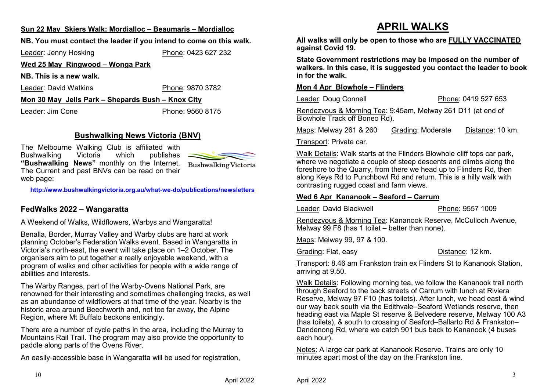#### **Sun 22 May Skiers Walk: Mordialloc – Beaumaris – Mordialloc**

# **NB. You must contact the leader if you intend to come on this walk.**

Leader: Jenny Hosking

Phone: 0423 627 232

#### **Wed 25 May Ringwood – Wonga Park**

**NB. This is a new walk.**

Leader: David Watkins

Phone: 9870 3782

**Mon 30 May Jells Park – Shepards Bush – Knox City**

Leader: Jim Cone

Phone: 9560 8175

# **Bushwalking News Victoria (BNV)**

The Melbourne Walking Club is affiliated with<br>Bushwalking Victoria which publishes publishes Bushwalking **"Bushwalking News"** monthly on the Internet. The Current and past BNVs can be read on their web page:



**http://www.bushwalkingvictoria.org.au/what-we-do/publications/newsletters**

## **FedWalks 2022 – Wangaratta**

A Weekend of Walks, Wildflowers, Warbys and Wangaratta!

Benalla, Border, Murray Valley and Warby clubs are hard at work planning October's Federation Walks event. Based in Wangaratta in Victoria's north-east, the event will take place on 1–2 October. The organisers aim to put together a really enjoyable weekend, with a program of walks and other activities for people with a wide range of abilities and interests.

The Warby Ranges, part of the Warby-Ovens National Park, are renowned for their interesting and sometimes challenging tracks, as well as an abundance of wildflowers at that time of the year. Nearby is the historic area around Beechworth and, not too far away, the Alpine Region, where Mt Buffalo beckons enticingly.

There are a number of cycle paths in the area, including the Murray to Mountains Rail Trail. The program may also provide the opportunity to paddle along parts of the Ovens River.

An easily-accessible base in Wangaratta will be used for registration,

# **APRIL WALKS**

 **All walks will only be open to those who are FULLY VACCINATED against Covid 19.**

**State Government restrictions may be imposed on the number of walkers. In this case, it is suggested you contact the leader to book in for the walk.**

#### **Mon 4 Apr Blowhole – Flinders**

Leader: Doug Connell

Phone: 0419 527 653

Rendezvous & Morning Tea: 9:45am, Melway 261 D11 (at end of Blowhole Track off Boneo Rd).

Maps: Melway 261 & 260 Grading: Moderate Distance: 10 km.

Transport: Private car.

Walk Details: Walk starts at the Flinders Blowhole cliff tops car park, where we negotiate a couple of steep descents and climbs along the foreshore to the Quarry, from there we head up to Flinders Rd, then along Keys Rd to Punchbowl Rd and return. This is a hilly walk with contrasting rugged coast and farm views.

#### **Wed 6 Apr Kananook – Seaford – Carrum**

Leader: David Blackwell

Phone: 9557 1009

Rendezvous & Morning Tea: Kananook Reserve, McCulloch Avenue, Melway 99 F8 (has 1 toilet – better than none).

Maps: Melway 99, 97 & 100.

Grading: Flat, easy

Distance: 12 km.

Transport: 8.46 am Frankston train ex Flinders St to Kananook Station, arriving at 9.50.

Walk Details: Following morning tea, we follow the Kananook trail north through Seaford to the back streets of Carrum with lunch at Riviera Reserve, Melway 97 F10 (has toilets). After lunch, we head east & wind our way back south via the Edithvale–Seaford Wetlands reserve, then heading east via Maple St reserve & Belvedere reserve, Melway 100 A3 (has toilets), & south to crossing of Seaford–Ballarto Rd & Frankston– Dandenong Rd, where we catch 901 bus back to Kananook (4 buses each hour).

Notes: A large car park at Kananook Reserve. Trains are only 10 minutes apart most of the day on the Frankston line.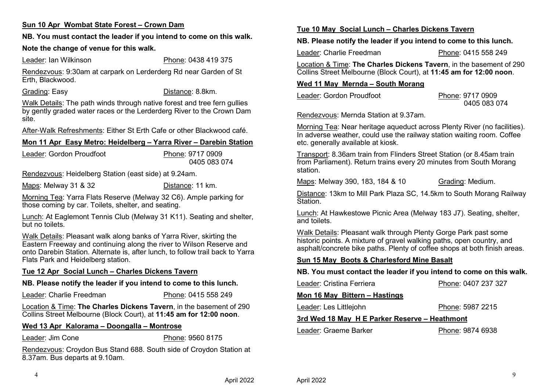### **Sun 10 Apr Wombat State Forest – Crown Dam**

#### **NB. You must contact the leader if you intend to come on this walk.**

#### **Note the change of venue for this walk.**

Leader: Ian Wilkinson

Phone: 0438 419 375

Rendezvous: 9:30am at carpark on Lerderderg Rd near Garden of St Erth, Blackwood.

Grading: Easy

Distance: 8.8km.

Walk Details: The path winds through native forest and tree fern gullies by gently graded water races or the Lerderderg River to the Crown Dam site.

After-Walk Refreshments: Either St Erth Cafe or other Blackwood café.

#### **Mon 11 Apr Easy Metro: Heidelberg – Yarra River – Darebin Station**

Leader: Gordon Proudfoot Phone: 9717 09090405 083 074

Rendezvous: Heidelberg Station (east side) at 9.24am.

Maps: Melway 31 & 32Distance: 11 km.

Morning Tea: Yarra Flats Reserve (Melway 32 C6). Ample parking for those coming by car. Toilets, shelter, and seating.

Lunch: At Eaglemont Tennis Club (Melway 31 K11). Seating and shelter, but no toilets.

Walk Details: Pleasant walk along banks of Yarra River, skirting the Eastern Freeway and continuing along the river to Wilson Reserve and onto Darebin Station. Alternate is, after lunch, to follow trail back to Yarra Flats Park and Heidelberg station.

#### **Tue 12 Apr Social Lunch – Charles Dickens Tavern**

#### **NB. Please notify the leader if you intend to come to this lunch.**

Leader: Charlie Freedman

Phone: 0415 558 249

Location & Time: **The Charles Dickens Tavern**, in the basement of 290 Collins Street Melbourne (Block Court), at **11:45 am for 12:00 noon**.

#### **Wed 13 Apr Kalorama – Doongalla – Montrose**

Leader: Jim Cone

Phone: 9560 8175

Rendezvous: Croydon Bus Stand 688. South side of Croydon Station at 8.37am. Bus departs at 9.10am.

#### **Tue 10 May Social Lunch – Charles Dickens Tavern**

**NB. Please notify the leader if you intend to come to this lunch.**

Leader: Charlie FreedmanPhone: 0415 558 249

Location & Time: **The Charles Dickens Tavern**, in the basement of 290 Collins Street Melbourne (Block Court), at **11:45 am for 12:00 noon**.

#### **Wed 11 May Mernda – South Morang**

Leader: Gordon ProudfootPhone: 9717 0909

0405 083 074

Rendezvous: Mernda Station at 9.37am.

Morning Tea: Near heritage aqueduct across Plenty River (no facilities). In adverse weather, could use the railway station waiting room. Coffee etc. generally available at kiosk.

Transport: 8.36am train from Flinders Street Station (or 8.45am train from Parliament). Return trains every 20 minutes from South Morang station.

Maps: Melway 390, 183, 184 & 10

Grading: Medium.

Distance: 13km to Mill Park Plaza SC, 14.5km to South Morang Railway **Station** 

Lunch: At Hawkestowe Picnic Area (Melway 183 J7). Seating, shelter, and toilets.

Walk Details: Pleasant walk through Plenty Gorge Park past some historic points. A mixture of gravel walking paths, open country, and asphalt/concrete bike paths. Plenty of coffee shops at both finish areas.

#### **Sun 15 May Boots & Charlesford Mine Basalt**

**NB. You must contact the leader if you intend to come on this walk.**

| Leader: Cristina Ferriera     | Phone: 0407 237 327 |  |
|-------------------------------|---------------------|--|
| Mon 16 May Bittern - Hastings |                     |  |
| Leader: Les Littlejohn        | Phone: 5987 2215    |  |

#### **3rd Wed 18 May H E Parker Reserve – Heathmont**

Leader: Graeme BarkerPhone: 9874 6938

4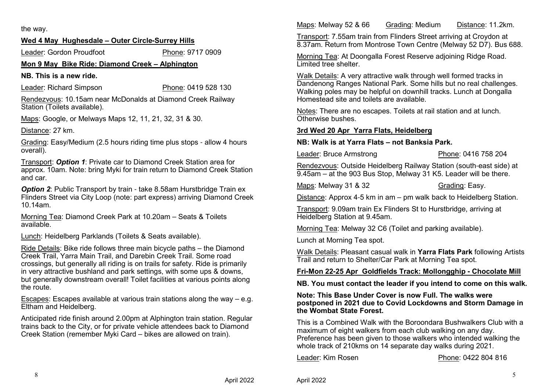the way.

## **Wed 4 May Hughesdale – Outer Circle-Surrey Hills**

Leader: Gordon ProudfootPhone: 9717 0909

## **Mon 9 May Bike Ride: Diamond Creek – Alphington**

**NB. This is a new ride.**

Leader: Richard Simpson

Phone: 0419 528 130

Rendezvous: 10.15am near McDonalds at Diamond Creek Railway Station (Toilets available).

Maps: Google, or Melways Maps 12, 11, 21, 32, 31 & 30.

Distance: 27 km.

Grading: Easy/Medium (2.5 hours riding time plus stops - allow 4 hours overall).

Transport: *Option 1*: Private car to Diamond Creek Station area for approx. 10am. Note: bring Myki for train return to Diamond Creek Station and car.

**Option 2:** Public Transport by train - take 8.58am Hurstbridge Train ex Flinders Street via City Loop (note: part express) arriving Diamond Creek 10.14am.

Morning Tea: Diamond Creek Park at 10.20am – Seats & Toilets available.

Lunch: Heidelberg Parklands (Toilets & Seats available).

<u>Ride Details</u>: Bike ride follows three main bicycle paths – the Diamond Creek Trail, Yarra Main Trail, and Darebin Creek Trail. Some road crossings, but generally all riding is on trails for safety. Ride is primarily in very attractive bushland and park settings, with some ups & downs, but generally downstream overall! Toilet facilities at various points along the route.

Escapes: Escapes available at various train stations along the way – e.g. Eltham and Heidelberg.

Anticipated ride finish around 2.00pm at Alphington train station. Regular trains back to the City, or for private vehicle attendees back to Diamond Creek Station (remember Myki Card – bikes are allowed on train).

Maps: Melway 52 & 66 Grading: Medium Distance: 11.2km.

Transport: 7.55am train from Flinders Street arriving at Croydon at 8.37am. Return from Montrose Town Centre (Melway 52 D7). Bus 688.

Morning Tea: At Doongalla Forest Reserve adjoining Ridge Road. Limited tree shelter.

Walk Details: A very attractive walk through well formed tracks in Dandenong Ranges National Park. Some hills but no real challenges. Walking poles may be helpful on downhill tracks. Lunch at Dongalla Homestead site and toilets are available.

Notes: There are no escapes. Toilets at rail station and at lunch. Otherwise bushes.

### **3rd Wed 20 Apr Yarra Flats, Heidelberg**

**NB: Walk is at Yarra Flats – not Banksia Park.**

Leader: Bruce Armstrong

Phone: 0416 758 204

Rendezvous: Outside Heidelberg Railway Station (south-east side) at 9.45am – at the 903 Bus Stop, Melway 31 K5. Leader will be there.

Maps: Melway 31 & 32

Grading: Easy.

Distance: Approx 4-5 km in am – pm walk back to Heidelberg Station.

Transport: 9.09am train Ex Flinders St to Hurstbridge, arriving at Heidelberg Station at 9.45am.

Morning Tea: Melway 32 C6 (Toilet and parking available).

Lunch at Morning Tea spot.

Walk Details: Pleasant casual walk in **Yarra Flats Park** following Artists Trail and return to Shelter/Car Park at Morning Tea spot.

## **Fri-Mon 22-25 Apr Goldfields Track: Mollongghip - Chocolate Mill**

**NB. You must contact the leader if you intend to come on this walk.**

#### **Note: This Base Under Cover is now Full. The walks were postponed in 2021 due to Covid Lockdowns and Storm Damage in the Wombat State Forest.**

This is a Combined Walk with the Boroondara Bushwalkers Club with a maximum of eight walkers from each club walking on any day. Preference has been given to those walkers who intended walking the whole track of 210kms on 14 separate day walks during 2021.

Leader: Kim Rosen

Phone: 0422 804 816

April 2022